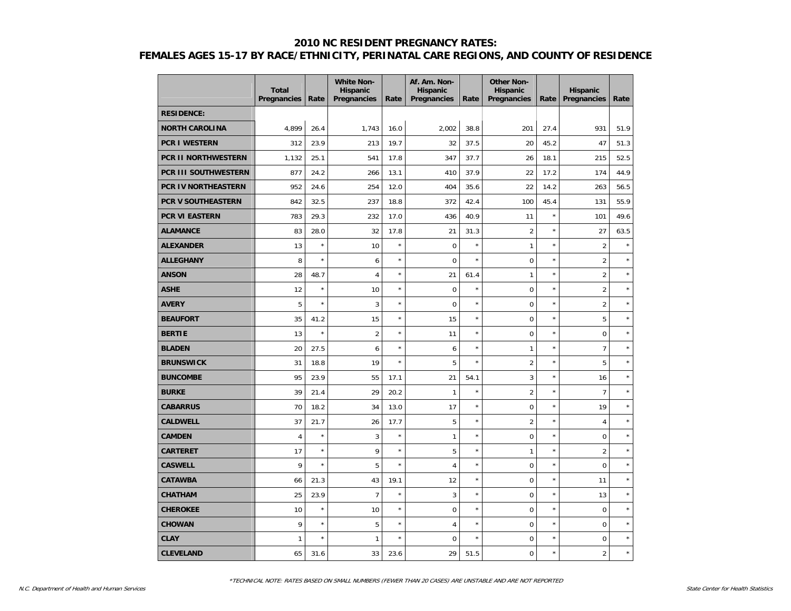|                             | <b>Total</b><br>Pregnancies | Rate    | <b>White Non-</b><br><b>Hispanic</b><br>Pregnancies | Rate    | Af. Am. Non-<br><b>Hispanic</b><br>Pregnancies | Rate    | <b>Other Non-</b><br><b>Hispanic</b><br>Pregnancies | Rate       | <b>Hispanic</b><br>Pregnancies | Rate    |
|-----------------------------|-----------------------------|---------|-----------------------------------------------------|---------|------------------------------------------------|---------|-----------------------------------------------------|------------|--------------------------------|---------|
| <b>RESIDENCE:</b>           |                             |         |                                                     |         |                                                |         |                                                     |            |                                |         |
| <b>NORTH CAROLINA</b>       | 4,899                       | 26.4    | 1,743                                               | 16.0    | 2,002                                          | 38.8    | 201                                                 | 27.4       | 931                            | 51.9    |
| <b>PCR I WESTERN</b>        | 312                         | 23.9    | 213                                                 | 19.7    | 32                                             | 37.5    | 20                                                  | 45.2       | 47                             | 51.3    |
| <b>PCR II NORTHWESTERN</b>  | 1,132                       | 25.1    | 541                                                 | 17.8    | 347                                            | 37.7    | 26                                                  | 18.1       | 215                            | 52.5    |
| <b>PCR III SOUTHWESTERN</b> | 877                         | 24.2    | 266                                                 | 13.1    | 410                                            | 37.9    | 22                                                  | 17.2       | 174                            | 44.9    |
| <b>PCR IV NORTHEASTERN</b>  | 952                         | 24.6    | 254                                                 | 12.0    | 404                                            | 35.6    | 22                                                  | 14.2       | 263                            | 56.5    |
| <b>PCR V SOUTHEASTERN</b>   | 842                         | 32.5    | 237                                                 | 18.8    | 372                                            | 42.4    | 100                                                 | 45.4       | 131                            | 55.9    |
| <b>PCR VI EASTERN</b>       | 783                         | 29.3    | 232                                                 | 17.0    | 436                                            | 40.9    | 11                                                  | $\star$    | 101                            | 49.6    |
| <b>ALAMANCE</b>             | 83                          | 28.0    | 32                                                  | 17.8    | 21                                             | 31.3    | $\overline{2}$                                      | $^{\star}$ | 27                             | 63.5    |
| <b>ALEXANDER</b>            | 13                          | $\star$ | 10                                                  | $\star$ | $\mathbf 0$                                    | $\star$ | 1                                                   | $\star$    | $\overline{2}$                 | $\star$ |
| <b>ALLEGHANY</b>            | 8                           | $\star$ | 6                                                   | $\star$ | $\overline{0}$                                 | $\star$ | 0                                                   | $\star$    | $\overline{2}$                 |         |
| <b>ANSON</b>                | 28                          | 48.7    | $\overline{4}$                                      | $\star$ | 21                                             | 61.4    | $\mathbf{1}$                                        | $\star$    | $\overline{2}$                 |         |
| <b>ASHE</b>                 | 12                          | $\star$ | 10                                                  | $\star$ | $\overline{0}$                                 | $\star$ | $\mathbf 0$                                         | $\star$    | $\overline{2}$                 |         |
| <b>AVERY</b>                | 5                           | $\star$ | 3                                                   | $\star$ | $\overline{0}$                                 | $\star$ | $\mathbf 0$                                         | $\star$    | $\overline{2}$                 |         |
| <b>BEAUFORT</b>             | 35                          | 41.2    | 15                                                  | $\star$ | 15                                             | $\star$ | $\overline{0}$                                      | $\star$    | 5                              |         |
| <b>BERTIE</b>               | 13                          | $\star$ | $\overline{2}$                                      | $\star$ | 11                                             | $\star$ | $\mathbf 0$                                         | $\star$    | $\mathbf 0$                    | $\star$ |
| <b>BLADEN</b>               | 20                          | 27.5    | 6                                                   | $\star$ | 6                                              | $\star$ | $\mathbf{1}$                                        | $\star$    | $\overline{7}$                 | $\star$ |
| <b>BRUNSWICK</b>            | 31                          | 18.8    | 19                                                  | $\star$ | 5                                              | $\star$ | $\overline{2}$                                      | $\star$    | 5                              | $\star$ |
| <b>BUNCOMBE</b>             | 95                          | 23.9    | 55                                                  | 17.1    | 21                                             | 54.1    | 3                                                   | $\star$    | 16                             | $\star$ |
| <b>BURKE</b>                | 39                          | 21.4    | 29                                                  | 20.2    | $\mathbf{1}$                                   | $\star$ | $\overline{2}$                                      | $\star$    | $\overline{7}$                 | ×       |
| <b>CABARRUS</b>             | 70                          | 18.2    | 34                                                  | 13.0    | 17                                             | $\star$ | $\mathbf 0$                                         | $\star$    | 19                             | $\star$ |
| <b>CALDWELL</b>             | 37                          | 21.7    | 26                                                  | 17.7    | 5                                              | $\star$ | $\overline{2}$                                      | $\star$    | $\overline{4}$                 | $\star$ |
| <b>CAMDEN</b>               | $\overline{4}$              | $\star$ | $\mathbf{3}$                                        | $\star$ | $\mathbf{1}$                                   | $\star$ | 0                                                   | $\star$    | $\mathsf{O}\xspace$            | $\star$ |
| <b>CARTERET</b>             | 17                          | $\star$ | 9                                                   | $\star$ | 5                                              | $\star$ | $\mathbf{1}$                                        | $\star$    | $\overline{2}$                 | $\star$ |
| <b>CASWELL</b>              | 9                           | $\star$ | 5                                                   | $\star$ | 4                                              | $\star$ | 0                                                   | $\star$    | $\mathbf 0$                    | $\star$ |
| <b>CATAWBA</b>              | 66                          | 21.3    | 43                                                  | 19.1    | 12                                             | $\star$ | 0                                                   | $\star$    | 11                             | $\star$ |
| <b>CHATHAM</b>              | 25                          | 23.9    | $\overline{7}$                                      | $\star$ | 3                                              | $\star$ | $\overline{0}$                                      | $\star$    | 13                             | $\star$ |
| <b>CHEROKEE</b>             | 10                          | $\star$ | 10                                                  | $\star$ | $\mathbf 0$                                    | $\star$ | $\overline{0}$                                      | $\star$    | $\mathbf 0$                    | $\star$ |
| <b>CHOWAN</b>               | 9                           | $\star$ | 5                                                   | $\star$ | 4                                              | $\star$ | $\overline{0}$                                      | $\star$    | $\Omega$                       | $\star$ |
| <b>CLAY</b>                 | $\mathbf{1}$                | $\star$ | $\mathbf{1}$                                        | $\star$ | $\mathbf 0$                                    | $\star$ | 0                                                   | $\star$    | $\mathbf 0$                    | $\star$ |
| <b>CLEVELAND</b>            | 65                          | 31.6    | 33                                                  | 23.6    | 29                                             | 51.5    | $\overline{0}$                                      | $\star$    | $\overline{c}$                 | $\star$ |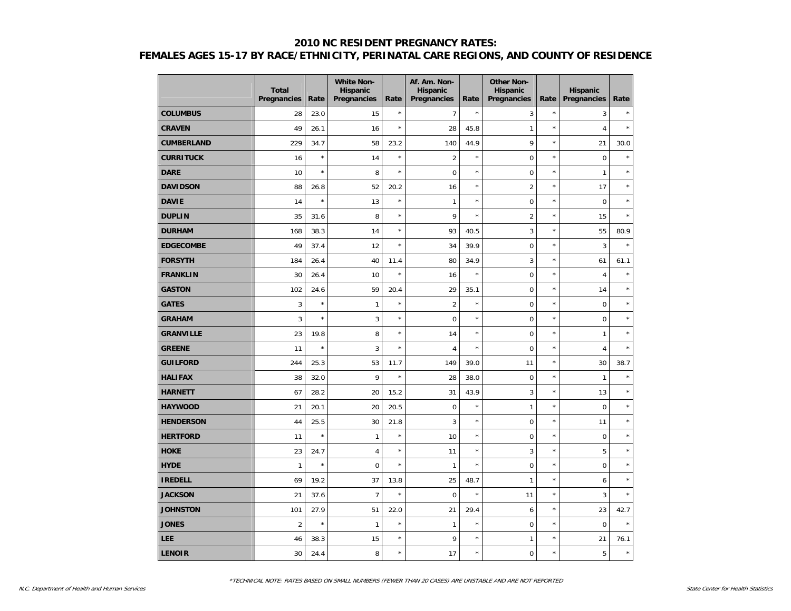|                   | <b>Total</b><br><b>Pregnancies</b> | Rate    | <b>White Non-</b><br>Hispanic<br>Pregnancies | Rate    | Af. Am. Non-<br><b>Hispanic</b><br>Pregnancies | Rate       | <b>Other Non-</b><br><b>Hispanic</b><br>Pregnancies | Rate       | <b>Hispanic</b><br><b>Pregnancies</b> | Rate    |
|-------------------|------------------------------------|---------|----------------------------------------------|---------|------------------------------------------------|------------|-----------------------------------------------------|------------|---------------------------------------|---------|
| <b>COLUMBUS</b>   | 28                                 | 23.0    | 15                                           | $\star$ | 7                                              | $\star$    | 3                                                   | $\star$    | 3                                     | $\star$ |
| <b>CRAVEN</b>     | 49                                 | 26.1    | 16                                           | $\star$ | 28                                             | 45.8       | $\mathbf{1}$                                        | $\star$    | $\overline{4}$                        | $\star$ |
| <b>CUMBERLAND</b> | 229                                | 34.7    | 58                                           | 23.2    | 140                                            | 44.9       | 9                                                   | $\star$    | 21                                    | 30.0    |
| <b>CURRITUCK</b>  | 16                                 | $\star$ | 14                                           | $\star$ | $\overline{2}$                                 | $\star$    | $\mathbf 0$                                         | $\star$    | $\mathbf 0$                           | $\star$ |
| <b>DARE</b>       | 10                                 | $\star$ | 8                                            | $\star$ | 0                                              | $\star$    | $\mathsf 0$                                         | $\star$    | $\mathbf{1}$                          |         |
| <b>DAVIDSON</b>   | 88                                 | 26.8    | 52                                           | 20.2    | 16                                             | $\star$    | $\overline{2}$                                      | $\star$    | 17                                    | $\star$ |
| <b>DAVIE</b>      | 14                                 | $\star$ | 13                                           | $\star$ | $\mathbf{1}$                                   | $\star$    | 0                                                   | $\star$    | 0                                     | $\star$ |
| <b>DUPLIN</b>     | 35                                 | 31.6    | 8                                            | $\star$ | 9                                              | $\star$    | $\overline{2}$                                      | $\star$    | 15                                    | $\star$ |
| <b>DURHAM</b>     | 168                                | 38.3    | 14                                           | $\star$ | 93                                             | 40.5       | 3                                                   | $\star$    | 55                                    | 80.9    |
| <b>EDGECOMBE</b>  | 49                                 | 37.4    | 12                                           | $\star$ | 34                                             | 39.9       | $\pmb{0}$                                           | $\star$    | 3                                     | $\star$ |
| <b>FORSYTH</b>    | 184                                | 26.4    | 40                                           | 11.4    | 80                                             | 34.9       | 3                                                   | $\star$    | 61                                    | 61.1    |
| <b>FRANKLIN</b>   | 30                                 | 26.4    | 10                                           | $\star$ | 16                                             | $\star$    | $\mathsf 0$                                         | $\star$    | $\overline{4}$                        | $\star$ |
| <b>GASTON</b>     | 102                                | 24.6    | 59                                           | 20.4    | 29                                             | 35.1       | 0                                                   | $\star$    | 14                                    | $\star$ |
| <b>GATES</b>      | 3                                  | $\star$ | $\mathbf{1}$                                 | $\star$ | $\overline{2}$                                 | $\star$    | $\pmb{0}$                                           | $\star$    | 0                                     | $\star$ |
| <b>GRAHAM</b>     | $\overline{3}$                     | $\star$ | 3                                            | $\star$ | $\mathbf 0$                                    | ×          | $\mathbf 0$                                         | $\star$    | 0                                     | $\star$ |
| <b>GRANVILLE</b>  | 23                                 | 19.8    | 8                                            | $\star$ | 14                                             | ×          | $\mathbf 0$                                         | $\star$    | $\mathbf{1}$                          | $\star$ |
| <b>GREENE</b>     | 11                                 | $\star$ | 3                                            | $\star$ | $\sqrt{4}$                                     | ×          | $\mathsf 0$                                         | $\star$    | $\overline{4}$                        | $\star$ |
| <b>GUILFORD</b>   | 244                                | 25.3    | 53                                           | 11.7    | 149                                            | 39.0       | 11                                                  | $\star$    | 30                                    | 38.7    |
| <b>HALIFAX</b>    | 38                                 | 32.0    | 9                                            | $\star$ | 28                                             | 38.0       | $\mathsf 0$                                         | $\star$    | $\mathbf{1}$                          | $\star$ |
| <b>HARNETT</b>    | 67                                 | 28.2    | 20                                           | 15.2    | 31                                             | 43.9       | 3                                                   | $^{\star}$ | 13                                    | $\star$ |
| <b>HAYWOOD</b>    | 21                                 | 20.1    | 20                                           | 20.5    | $\mathbf 0$                                    | ×          | $\mathbf{1}$                                        | $\star$    | 0                                     | $\star$ |
| <b>HENDERSON</b>  | 44                                 | 25.5    | 30                                           | 21.8    | 3                                              | $\star$    | $\pmb{0}$                                           | $\star$    | 11                                    | $\star$ |
| <b>HERTFORD</b>   | 11                                 | $\star$ | $\mathbf{1}$                                 | $\star$ | 10                                             | $^{\star}$ | $\mathbf 0$                                         | $\star$    | 0                                     | $\star$ |
| <b>HOKE</b>       | 23                                 | 24.7    | $\overline{4}$                               | $\star$ | 11                                             | $\star$    | 3                                                   | $\star$    | 5                                     | $\star$ |
| <b>HYDE</b>       | $\mathbf{1}$                       | $\star$ | $\mathbf 0$                                  | $\star$ | $\mathbf{1}$                                   | ×          | $\mathsf 0$                                         | $\star$    | 0                                     | $\star$ |
| <b>IREDELL</b>    | 69                                 | 19.2    | 37                                           | 13.8    | 25                                             | 48.7       | 1                                                   | $\star$    | 6                                     | $\star$ |
| <b>JACKSON</b>    | 21                                 | 37.6    | $\overline{7}$                               | $\star$ | $\mathbf 0$                                    | ×          | 11                                                  | $\star$    | 3                                     | $\star$ |
| <b>JOHNSTON</b>   | 101                                | 27.9    | 51                                           | 22.0    | 21                                             | 29.4       | 6                                                   | $\star$    | 23                                    | 42.7    |
| <b>JONES</b>      | $\overline{2}$                     | $\star$ | 1                                            | $\star$ | $\mathbf{1}$                                   | ×          | 0                                                   | $\star$    | $\mathbf 0$                           | $\star$ |
| <b>LEE</b>        | 46                                 | 38.3    | 15                                           | $\star$ | 9                                              | ×          | 1                                                   | $\star$    | 21                                    | 76.1    |
| <b>LENOIR</b>     | 30                                 | 24.4    | 8                                            | $\star$ | 17                                             | $\star$    | $\mathbf 0$                                         | $\star$    | 5                                     | $\star$ |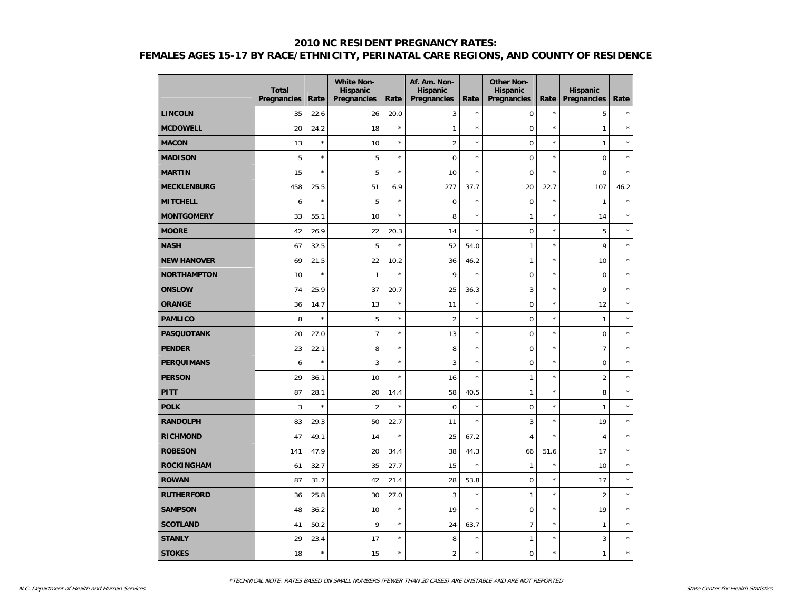|                    | <b>Total</b><br>Pregnancies | Rate    | <b>White Non-</b><br><b>Hispanic</b><br>Pregnancies | Rate    | Af. Am. Non-<br><b>Hispanic</b><br>Pregnancies | Rate       | <b>Other Non-</b><br><b>Hispanic</b><br>Pregnancies | Rate    | <b>Hispanic</b><br><b>Pregnancies</b> | Rate    |
|--------------------|-----------------------------|---------|-----------------------------------------------------|---------|------------------------------------------------|------------|-----------------------------------------------------|---------|---------------------------------------|---------|
| <b>LINCOLN</b>     | 35                          | 22.6    | 26                                                  | 20.0    | 3                                              | $\star$    | $\mathbf 0$                                         | $\star$ | 5                                     | $\star$ |
| <b>MCDOWELL</b>    | 20                          | 24.2    | 18                                                  | $\star$ | $\mathbf{1}$                                   | $\star$    | $\mathbf 0$                                         | $\star$ | $\mathbf{1}$                          | $\star$ |
| <b>MACON</b>       | 13                          | $\star$ | 10                                                  | $\star$ | $\overline{2}$                                 | $\star$    | $\mathbf 0$                                         | $\star$ | $\mathbf{1}$                          | $\star$ |
| <b>MADISON</b>     | 5                           | $\star$ | 5                                                   | $\star$ | $\mathbf 0$                                    | $\star$    | $\mathbf 0$                                         | $\star$ | $\mathbf 0$                           | $\star$ |
| <b>MARTIN</b>      | 15                          | $\star$ | 5                                                   | $\star$ | 10                                             | $\star$    | $\mathbf 0$                                         | $\star$ | $\overline{0}$                        | $\star$ |
| <b>MECKLENBURG</b> | 458                         | 25.5    | 51                                                  | 6.9     | 277                                            | 37.7       | 20                                                  | 22.7    | 107                                   | 46.2    |
| <b>MITCHELL</b>    | 6                           | $\star$ | 5                                                   | $\star$ | $\mathbf 0$                                    | $\star$    | $\mathbf 0$                                         | $\star$ | $\mathbf{1}$                          | $\star$ |
| <b>MONTGOMERY</b>  | 33                          | 55.1    | 10                                                  | $\star$ | 8                                              | $\star$    | $\mathbf{1}$                                        | $\star$ | 14                                    | $\star$ |
| <b>MOORE</b>       | 42                          | 26.9    | 22                                                  | 20.3    | 14                                             | $\star$    | $\mathbf 0$                                         | $\star$ | 5                                     | $\star$ |
| <b>NASH</b>        | 67                          | 32.5    | 5                                                   | $\star$ | 52                                             | 54.0       | $\mathbf{1}$                                        | $\star$ | 9                                     | $\star$ |
| <b>NEW HANOVER</b> | 69                          | 21.5    | 22                                                  | 10.2    | 36                                             | 46.2       | $\mathbf{1}$                                        | $\star$ | 10                                    | $\star$ |
| <b>NORTHAMPTON</b> | 10                          | $\star$ | $\mathbf{1}$                                        | $\star$ | 9                                              | $\star$    | $\mathbf 0$                                         | $\star$ | $\mathbf 0$                           | $\star$ |
| <b>ONSLOW</b>      | 74                          | 25.9    | 37                                                  | 20.7    | 25                                             | 36.3       | 3                                                   | $\star$ | 9                                     | $\star$ |
| <b>ORANGE</b>      | 36                          | 14.7    | 13                                                  | $\star$ | 11                                             | $\star$    | $\mathbf 0$                                         | $\star$ | 12                                    | $\star$ |
| <b>PAMLICO</b>     | 8                           | $\star$ | 5                                                   | $\star$ | $\overline{2}$                                 | $\star$    | $\mathbf 0$                                         | $\star$ | $\mathbf{1}$                          | $\star$ |
| <b>PASQUOTANK</b>  | 20                          | 27.0    | $\overline{7}$                                      | $\star$ | 13                                             | $\star$    | $\mathbf 0$                                         | $\star$ | $\mathbf 0$                           | $\star$ |
| <b>PENDER</b>      | 23                          | 22.1    | 8                                                   | $\star$ | 8                                              | $\star$    | $\mathbf 0$                                         | $\star$ | $\overline{7}$                        | $\star$ |
| <b>PERQUIMANS</b>  | 6                           | $\star$ | 3                                                   | $\star$ | 3                                              | $\star$    | $\mathbf 0$                                         | $\star$ | $\mathsf 0$                           | $\star$ |
| <b>PERSON</b>      | 29                          | 36.1    | 10                                                  | $\star$ | 16                                             | $\star$    | $\mathbf{1}$                                        | $\star$ | $\overline{2}$                        | $\star$ |
| <b>PITT</b>        | 87                          | 28.1    | 20                                                  | 14.4    | 58                                             | 40.5       | $\mathbf{1}$                                        | $\star$ | 8                                     | $\star$ |
| <b>POLK</b>        | $\overline{3}$              | $\star$ | $\overline{2}$                                      | $\star$ | $\mathbf 0$                                    | $\star$    | $\mathbf 0$                                         | $\star$ | $\mathbf{1}$                          | $\star$ |
| <b>RANDOLPH</b>    | 83                          | 29.3    | 50                                                  | 22.7    | 11                                             | $\star$    | 3                                                   | $\star$ | 19                                    | $\star$ |
| <b>RICHMOND</b>    | 47                          | 49.1    | 14                                                  | $\star$ | 25                                             | 67.2       | $\overline{4}$                                      | $\star$ | $\overline{4}$                        | $\star$ |
| <b>ROBESON</b>     | 141                         | 47.9    | 20                                                  | 34.4    | 38                                             | 44.3       | 66                                                  | 51.6    | 17                                    | $\star$ |
| <b>ROCKINGHAM</b>  | 61                          | 32.7    | 35                                                  | 27.7    | 15                                             | $\star$    | $\mathbf{1}$                                        | $\star$ | 10                                    | $\star$ |
| <b>ROWAN</b>       | 87                          | 31.7    | 42                                                  | 21.4    | 28                                             | 53.8       | $\pmb{0}$                                           | $\star$ | 17                                    | $\star$ |
| <b>RUTHERFORD</b>  | 36                          | 25.8    | 30                                                  | 27.0    | 3                                              | $^{\star}$ | $\mathbf{1}$                                        | $\star$ | $\overline{2}$                        | $\star$ |
| <b>SAMPSON</b>     | 48                          | 36.2    | 10                                                  | $\star$ | 19                                             | $\star$    | $\mathbf 0$                                         | $\star$ | 19                                    | $\star$ |
| <b>SCOTLAND</b>    | 41                          | 50.2    | 9                                                   | $\star$ | 24                                             | 63.7       | $\overline{7}$                                      | $\star$ | $\mathbf{1}$                          | $\star$ |
| <b>STANLY</b>      | 29                          | 23.4    | 17                                                  | $\star$ | 8                                              | $^{\star}$ | $\mathbf{1}$                                        | $\star$ | 3                                     | $\star$ |
| <b>STOKES</b>      | 18                          | $\star$ | 15                                                  | $\star$ | $\overline{2}$                                 | $\star$    | $\mathbf 0$                                         | $\star$ | $\mathbf{1}$                          | $\star$ |